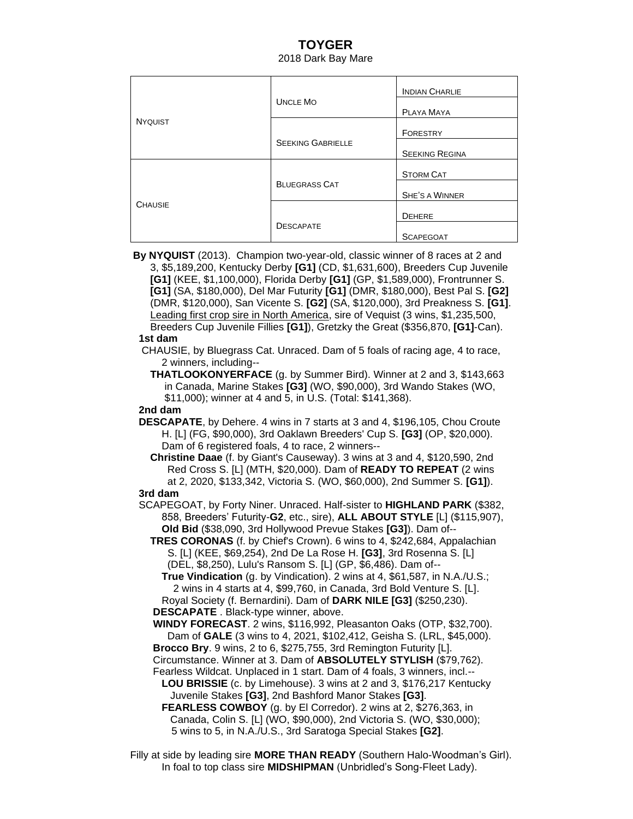## **TOYGER** 2018 Dark Bay Mare

| <b>NYQUIST</b> | <b>UNCLE MO</b>          | <b>INDIAN CHARLIE</b> |
|----------------|--------------------------|-----------------------|
|                |                          | PLAYA MAYA            |
|                |                          | <b>FORESTRY</b>       |
|                | <b>SEEKING GABRIELLE</b> | <b>SEEKING REGINA</b> |
| <b>CHAUSIE</b> | <b>BLUEGRASS CAT</b>     | <b>STORM CAT</b>      |
|                |                          | <b>SHE'S A WINNER</b> |
|                | <b>DESCAPATE</b>         | <b>DEHERE</b>         |
|                |                          | <b>SCAPEGOAT</b>      |

**By NYQUIST** (2013). Champion two-year-old, classic winner of 8 races at 2 and 3, \$5,189,200, Kentucky Derby **[G1]** (CD, \$1,631,600), Breeders Cup Juvenile **[G1]** (KEE, \$1,100,000), Florida Derby **[G1]** (GP, \$1,589,000), Frontrunner S. **[G1]** (SA, \$180,000), Del Mar Futurity **[G1]** (DMR, \$180,000), Best Pal S. **[G2]** (DMR, \$120,000), San Vicente S. **[G2]** (SA, \$120,000), 3rd Preakness S. **[G1]**. Leading first crop sire in North America, sire of Vequist (3 wins, \$1,235,500, Breeders Cup Juvenile Fillies **[G1]**), Gretzky the Great (\$356,870, **[G1]**-Can).

#### **1st dam**

 CHAUSIE, by Bluegrass Cat. Unraced. Dam of 5 foals of racing age, 4 to race, 2 winners, including--

 **THATLOOKONYERFACE** (g. by Summer Bird). Winner at 2 and 3, \$143,663 in Canada, Marine Stakes **[G3]** (WO, \$90,000), 3rd Wando Stakes (WO, \$11,000); winner at 4 and 5, in U.S. (Total: \$141,368).

#### **2nd dam**

 **DESCAPATE**, by Dehere. 4 wins in 7 starts at 3 and 4, \$196,105, Chou Croute H. [L] (FG, \$90,000), 3rd Oaklawn Breeders' Cup S. **[G3]** (OP, \$20,000). Dam of 6 registered foals, 4 to race, 2 winners--

 **Christine Daae** (f. by Giant's Causeway). 3 wins at 3 and 4, \$120,590, 2nd Red Cross S. [L] (MTH, \$20,000). Dam of **READY TO REPEAT** (2 wins at 2, 2020, \$133,342, Victoria S. (WO, \$60,000), 2nd Summer S. **[G1]**).

### **3rd dam**

 SCAPEGOAT, by Forty Niner. Unraced. Half-sister to **HIGHLAND PARK** (\$382, 858, Breeders' Futurity-**G2**, etc., sire), **ALL ABOUT STYLE** [L] (\$115,907), **Old Bid** (\$38,090, 3rd Hollywood Prevue Stakes **[G3]**). Dam of--

 **TRES CORONAS** (f. by Chief's Crown). 6 wins to 4, \$242,684, Appalachian S. [L] (KEE, \$69,254), 2nd De La Rose H. **[G3]**, 3rd Rosenna S. [L] (DEL, \$8,250), Lulu's Ransom S. [L] (GP, \$6,486). Dam of--

 **True Vindication** (g. by Vindication). 2 wins at 4, \$61,587, in N.A./U.S.; 2 wins in 4 starts at 4, \$99,760, in Canada, 3rd Bold Venture S. [L]. Royal Society (f. Bernardini). Dam of **DARK NILE [G3]** (\$250,230).

 **DESCAPATE** . Black-type winner, above.

 **WINDY FORECAST**. 2 wins, \$116,992, Pleasanton Oaks (OTP, \$32,700). Dam of **GALE** (3 wins to 4, 2021, \$102,412, Geisha S. (LRL, \$45,000).

**Brocco Bry**. 9 wins, 2 to 6, \$275,755, 3rd Remington Futurity [L].

Circumstance. Winner at 3. Dam of **ABSOLUTELY STYLISH** (\$79,762).

Fearless Wildcat. Unplaced in 1 start. Dam of 4 foals, 3 winners, incl.--

 **LOU BRISSIE** (c. by Limehouse). 3 wins at 2 and 3, \$176,217 Kentucky Juvenile Stakes **[G3]**, 2nd Bashford Manor Stakes **[G3]**.

 **FEARLESS COWBOY** (g. by El Corredor). 2 wins at 2, \$276,363, in Canada, Colin S. [L] (WO, \$90,000), 2nd Victoria S. (WO, \$30,000); 5 wins to 5, in N.A./U.S., 3rd Saratoga Special Stakes **[G2]**.

Filly at side by leading sire **MORE THAN READY** (Southern Halo-Woodman's Girl). In foal to top class sire **MIDSHIPMAN** (Unbridled's Song-Fleet Lady).